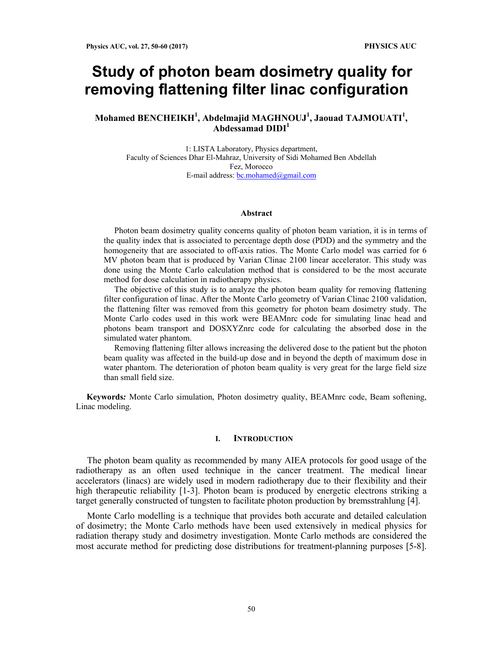# **Study of photon beam dosimetry quality for removing flattening filter linac configuration**

## **Mohamed BENCHEIKH1 , Abdelmajid MAGHNOUJ<sup>1</sup> , Jaouad TAJMOUATI<sup>1</sup> , Abdessamad DIDI1**

1: LISTA Laboratory, Physics department, Faculty of Sciences Dhar El-Mahraz, University of Sidi Mohamed Ben Abdellah Fez, Morocco E-mail address:  $bc$ .mohamed@gmail.com

#### **Abstract**

Photon beam dosimetry quality concerns quality of photon beam variation, it is in terms of the quality index that is associated to percentage depth dose (PDD) and the symmetry and the homogeneity that are associated to off-axis ratios. The Monte Carlo model was carried for 6 MV photon beam that is produced by Varian Clinac 2100 linear accelerator. This study was done using the Monte Carlo calculation method that is considered to be the most accurate method for dose calculation in radiotherapy physics.

The objective of this study is to analyze the photon beam quality for removing flattening filter configuration of linac. After the Monte Carlo geometry of Varian Clinac 2100 validation, the flattening filter was removed from this geometry for photon beam dosimetry study. The Monte Carlo codes used in this work were BEAMnrc code for simulating linac head and photons beam transport and DOSXYZnrc code for calculating the absorbed dose in the simulated water phantom.

Removing flattening filter allows increasing the delivered dose to the patient but the photon beam quality was affected in the build-up dose and in beyond the depth of maximum dose in water phantom. The deterioration of photon beam quality is very great for the large field size than small field size.

**Keywords***:* Monte Carlo simulation, Photon dosimetry quality, BEAMnrc code, Beam softening, Linac modeling.

#### **I. INTRODUCTION**

The photon beam quality as recommended by many AIEA protocols for good usage of the radiotherapy as an often used technique in the cancer treatment. The medical linear accelerators (linacs) are widely used in modern radiotherapy due to their flexibility and their high therapeutic reliability [1-3]. Photon beam is produced by energetic electrons striking a target generally constructed of tungsten to facilitate photon production by bremsstrahlung [4].

Monte Carlo modelling is a technique that provides both accurate and detailed calculation of dosimetry; the Monte Carlo methods have been used extensively in medical physics for radiation therapy study and dosimetry investigation. Monte Carlo methods are considered the most accurate method for predicting dose distributions for treatment-planning purposes [5-8].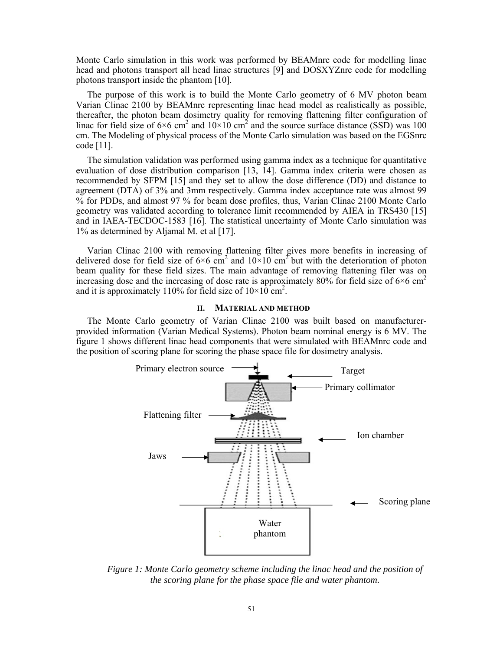Monte Carlo simulation in this work was performed by BEAMnrc code for modelling linac head and photons transport all head linac structures [9] and DOSXYZnrc code for modelling photons transport inside the phantom [10].

The purpose of this work is to build the Monte Carlo geometry of 6 MV photon beam Varian Clinac 2100 by BEAMnrc representing linac head model as realistically as possible, thereafter, the photon beam dosimetry quality for removing flattening filter configuration of linac for field size of  $6 \times 6$  cm<sup>2</sup> and  $10 \times 10$  cm<sup>2</sup> and the source surface distance (SSD) was 100 cm. The Modeling of physical process of the Monte Carlo simulation was based on the EGSnrc code [11].

The simulation validation was performed using gamma index as a technique for quantitative evaluation of dose distribution comparison [13, 14]. Gamma index criteria were chosen as recommended by SFPM [15] and they set to allow the dose difference (DD) and distance to agreement (DTA) of 3% and 3mm respectively. Gamma index acceptance rate was almost 99 % for PDDs, and almost 97 % for beam dose profiles, thus, Varian Clinac 2100 Monte Carlo geometry was validated according to tolerance limit recommended by AIEA in TRS430 [15] and in IAEA-TECDOC-1583 [16]. The statistical uncertainty of Monte Carlo simulation was 1% as determined by Aljamal M. et al [17].

Varian Clinac 2100 with removing flattening filter gives more benefits in increasing of delivered dose for field size of  $6 \times 6$  cm<sup>2</sup> and  $10 \times 10$  cm<sup>2</sup> but with the deterioration of photon beam quality for these field sizes. The main advantage of removing flattening filer was on increasing dose and the increasing of dose rate is approximately 80% for field size of  $6\times6$  cm<sup>2</sup> and it is approximately 110% for field size of  $10 \times 10^{6}$  cm<sup>2</sup>.

## **II. MATERIAL AND METHOD**

The Monte Carlo geometry of Varian Clinac 2100 was built based on manufacturerprovided information (Varian Medical Systems). Photon beam nominal energy is 6 MV. The figure 1 shows different linac head components that were simulated with BEAMnrc code and the position of scoring plane for scoring the phase space file for dosimetry analysis.



*Figure 1: Monte Carlo geometry scheme including the linac head and the position of the scoring plane for the phase space file and water phantom.*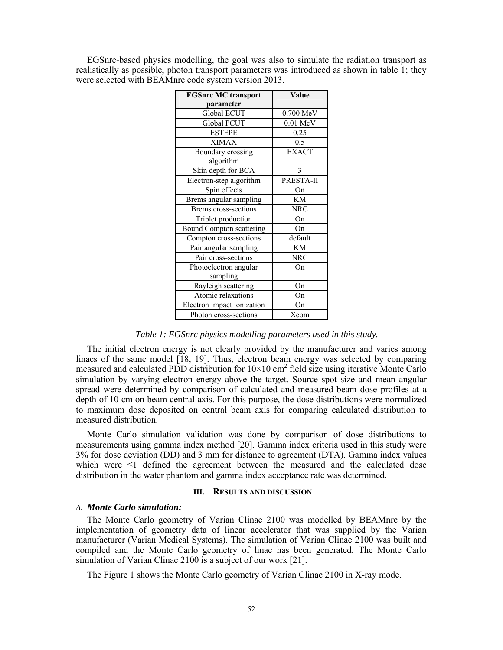| <b>EGSnrc MC transport</b> | Value        |  |
|----------------------------|--------------|--|
| parameter                  |              |  |
| <b>Global ECUT</b>         | 0.700 MeV    |  |
| Global PCUT                | $0.01$ MeV   |  |
| <b>ESTEPE</b>              | 0.25         |  |
| <b>XIMAX</b>               | 0.5          |  |
| Boundary crossing          | <b>EXACT</b> |  |
| algorithm                  |              |  |
| Skin depth for BCA         | 3            |  |
| Electron-step algorithm    | PRESTA-II    |  |
| Spin effects               | On           |  |
| Brems angular sampling     | <b>KM</b>    |  |
| Brems cross-sections       | <b>NRC</b>   |  |
| Triplet production         | On           |  |
| Bound Compton scattering   | On           |  |
| Compton cross-sections     | default      |  |
| Pair angular sampling      | KM           |  |
| Pair cross-sections        | <b>NRC</b>   |  |
| Photoelectron angular      | On           |  |
| sampling                   |              |  |
| Rayleigh scattering        | On           |  |
| Atomic relaxations         | On           |  |
| Electron impact ionization | On           |  |
| Photon cross-sections      | Xcom         |  |

EGSnrc-based physics modelling, the goal was also to simulate the radiation transport as realistically as possible, photon transport parameters was introduced as shown in table 1; they were selected with BEAMnrc code system version 2013.

*Table 1: EGSnrc physics modelling parameters used in this study.* 

The initial electron energy is not clearly provided by the manufacturer and varies among linacs of the same model [18, 19]. Thus, electron beam energy was selected by comparing measured and calculated PDD distribution for  $10 \times 10$  cm<sup>2</sup> field size using iterative Monte Carlo simulation by varying electron energy above the target. Source spot size and mean angular spread were determined by comparison of calculated and measured beam dose profiles at a depth of 10 cm on beam central axis. For this purpose, the dose distributions were normalized to maximum dose deposited on central beam axis for comparing calculated distribution to measured distribution.

Monte Carlo simulation validation was done by comparison of dose distributions to measurements using gamma index method [20]. Gamma index criteria used in this study were 3% for dose deviation (DD) and 3 mm for distance to agreement (DTA). Gamma index values which were ≤1 defined the agreement between the measured and the calculated dose distribution in the water phantom and gamma index acceptance rate was determined.

#### **III. RESULTS AND DISCUSSION**

#### *A. Monte Carlo simulation:*

The Monte Carlo geometry of Varian Clinac 2100 was modelled by BEAMnrc by the implementation of geometry data of linear accelerator that was supplied by the Varian manufacturer (Varian Medical Systems). The simulation of Varian Clinac 2100 was built and compiled and the Monte Carlo geometry of linac has been generated. The Monte Carlo simulation of Varian Clinac 2100 is a subject of our work [21].

The Figure 1 shows the Monte Carlo geometry of Varian Clinac 2100 in X-ray mode.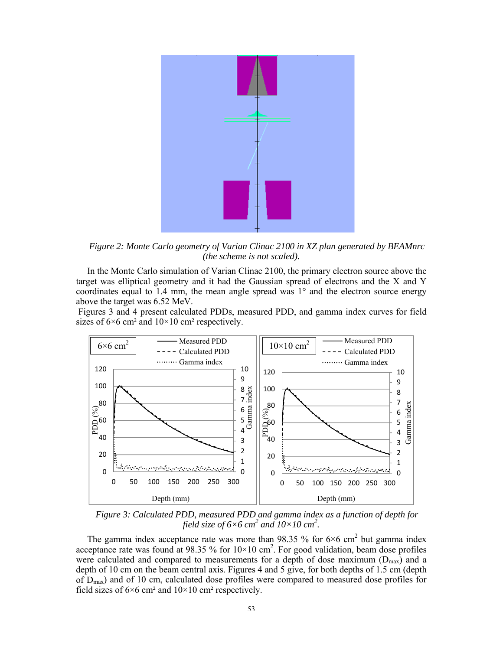

*Figure 2: Monte Carlo geometry of Varian Clinac 2100 in XZ plan generated by BEAMnrc (the scheme is not scaled).* 

In the Monte Carlo simulation of Varian Clinac 2100, the primary electron source above the target was elliptical geometry and it had the Gaussian spread of electrons and the X and Y coordinates equal to 1.4 mm, the mean angle spread was 1° and the electron source energy above the target was 6.52 MeV.

 Figures 3 and 4 present calculated PDDs, measured PDD, and gamma index curves for field sizes of  $6\times6$  cm<sup>2</sup> and  $10\times10$  cm<sup>2</sup> respectively.



*Figure 3: Calculated PDD, measured PDD and gamma index as a function of depth for field size of 6×6 cm<sup>2</sup> and 10×10 cm<sup>2</sup>.* 

The gamma index acceptance rate was more than 98.35 % for  $6\times6$  cm<sup>2</sup> but gamma index acceptance rate was found at 98.35 % for  $10 \times 10$  cm<sup>2</sup>. For good validation, beam dose profiles were calculated and compared to measurements for a depth of dose maximum  $(D_{max})$  and a depth of 10 cm on the beam central axis. Figures 4 and 5 give, for both depths of 1.5 cm (depth of  $D_{\text{max}}$ ) and of 10 cm, calculated dose profiles were compared to measured dose profiles for field sizes of  $6 \times 6$  cm<sup>2</sup> and  $10 \times 10$  cm<sup>2</sup> respectively.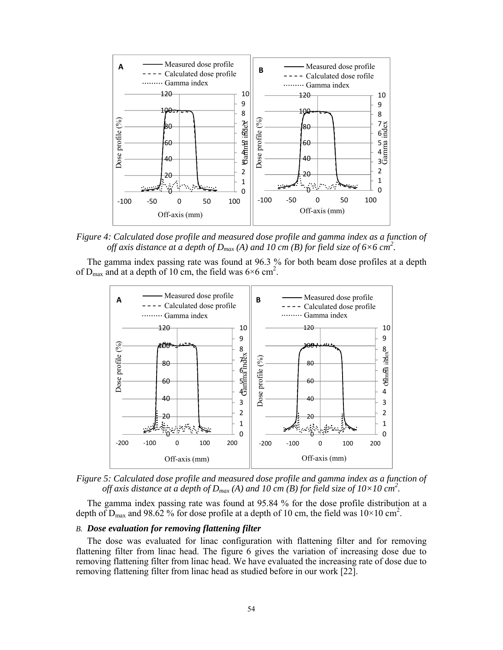

*Figure 4: Calculated dose profile and measured dose profile and gamma index as a function of off axis distance at a depth of*  $D_{max}(A)$  *and*  $10 \text{ cm}$  *(B) for field size of 6×6 cm<sup>2</sup>.* 

 The gamma index passing rate was found at 96.3 % for both beam dose profiles at a depth of  $D_{\text{max}}$  and at a depth of 10 cm, the field was 6×6 cm<sup>2</sup>.



*Figure 5: Calculated dose profile and measured dose profile and gamma index as a function of off axis distance at a depth of*  $D_{max}(A)$  *and 10 cm (B) for field size of*  $10\times10$  *cm<sup>2</sup>.* 

 The gamma index passing rate was found at 95.84 % for the dose profile distribution at a depth of  $D_{\text{max}}$  and 98.62 % for dose profile at a depth of 10 cm, the field was  $10 \times 10 \text{ cm}^2$ .

## *B. Dose evaluation for removing flattening filter*

 The dose was evaluated for linac configuration with flattening filter and for removing flattening filter from linac head. The figure 6 gives the variation of increasing dose due to removing flattening filter from linac head. We have evaluated the increasing rate of dose due to removing flattening filter from linac head as studied before in our work [22].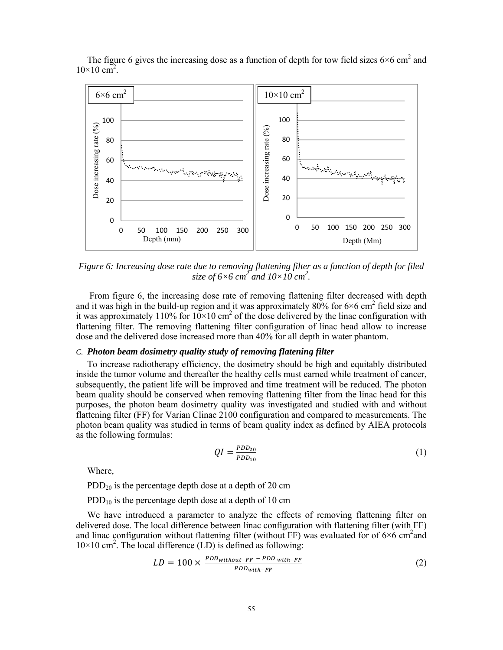

The figure 6 gives the increasing dose as a function of depth for tow field sizes  $6\times6$  cm<sup>2</sup> and  $10\times10 \text{ cm}^2$ .

*Figure 6: Increasing dose rate due to removing flattening filter as a function of depth for filed*  size of  $6 \times 6$  cm<sup>2</sup> and  $10 \times 10$  cm<sup>2</sup>.

From figure 6, the increasing dose rate of removing flattening filter decreased with depth and it was high in the build-up region and it was approximately 80% for 6×6 cm<sup>2</sup> field size and it was approximately 110% for  $10 \times 10$  cm<sup>2</sup> of the dose delivered by the linac configuration with flattening filter. The removing flattening filter configuration of linac head allow to increase dose and the delivered dose increased more than 40% for all depth in water phantom.

## *C. Photon beam dosimetry quality study of removing flatening filter*

To increase radiotherapy efficiency, the dosimetry should be high and equitably distributed inside the tumor volume and thereafter the healthy cells must earned while treatment of cancer, subsequently, the patient life will be improved and time treatment will be reduced. The photon beam quality should be conserved when removing flattening filter from the linac head for this purposes, the photon beam dosimetry quality was investigated and studied with and without flattening filter (FF) for Varian Clinac 2100 configuration and compared to measurements. The photon beam quality was studied in terms of beam quality index as defined by AIEA protocols as the following formulas:

$$
QI = \frac{PDD_{20}}{PDD_{10}}\tag{1}
$$

Where,

 $PDD_{20}$  is the percentage depth dose at a depth of 20 cm

PDD<sub>10</sub> is the percentage depth dose at a depth of 10 cm

We have introduced a parameter to analyze the effects of removing flattening filter on delivered dose. The local difference between linac configuration with flattening filter (with FF) and linac configuration without flattening filter (without FF) was evaluated for of  $6\times6$  cm<sup>2</sup>and  $10\times10$  cm<sup>2</sup>. The local difference (LD) is defined as following:

$$
LD = 100 \times \frac{PDD_{without-FF} - PDD_{with-FF}}{PDD_{with-FF}}
$$
 (2)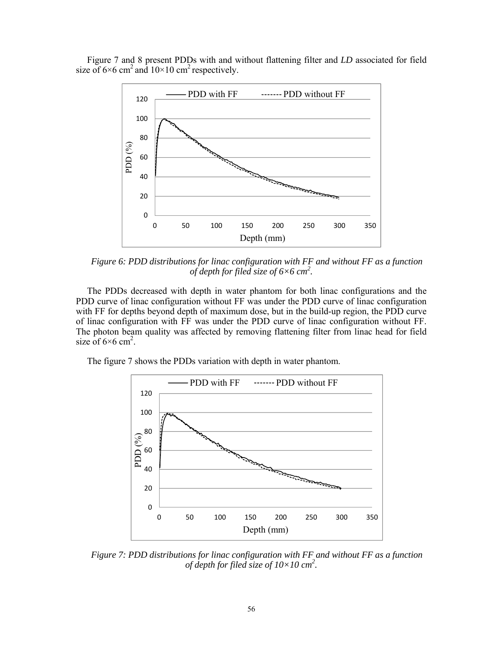Figure 7 and 8 present PDDs with and without flattening filter and *LD* associated for field size of  $6 \times 6$  cm<sup>2</sup> and  $10 \times 10$  cm<sup>2</sup> respectively.



*Figure 6: PDD distributions for linac configuration with FF and without FF as a function of depth for filed size of 6×6 cm2 .* 

The PDDs decreased with depth in water phantom for both linac configurations and the PDD curve of linac configuration without FF was under the PDD curve of linac configuration with FF for depths beyond depth of maximum dose, but in the build-up region, the PDD curve of linac configuration with FF was under the PDD curve of linac configuration without FF. The photon beam quality was affected by removing flattening filter from linac head for field size of  $6 \times 6$  cm<sup>2</sup>.

The figure 7 shows the PDDs variation with depth in water phantom.



*Figure 7: PDD distributions for linac configuration with FF and without FF as a function of depth for filed size of 10×10 cm2 .*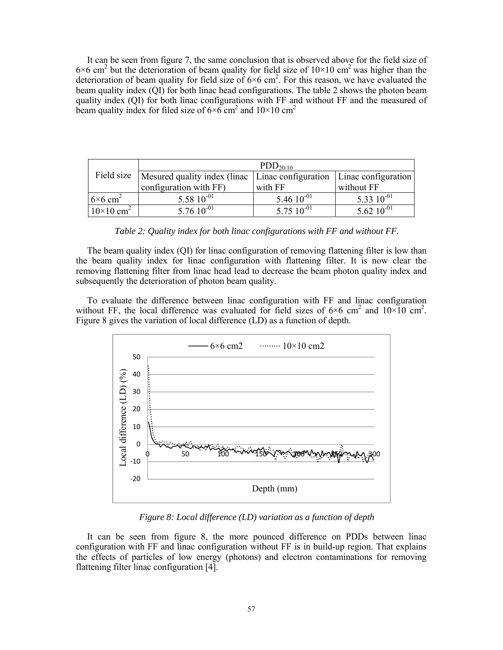It can be seen from figure 7, the same conclusion that is observed above for the field size of  $6 \times 6$  cm<sup>2</sup> but the deterioration of beam quality for field size of  $10 \times 10$  cm<sup>2</sup> was higher than the deterioration of beam quality for field size of  $6 \times 6$  cm<sup>2</sup>. For this reason, we have evaluated the beam quality index (QI) for both linac head configurations. The table 2 shows the photon beam quality index (QI) for both linac configurations with FF and without FF and the measured of beam quality index for filed size of  $6 \times 6$  cm<sup>2</sup> and  $10 \times 10$  cm<sup>2</sup>

|                              | PDD <sub>20/10</sub>                                                                  |                 |                 |
|------------------------------|---------------------------------------------------------------------------------------|-----------------|-----------------|
|                              | Field size   Mesured quality index (linac   Linac configuration   Linac configuration |                 |                 |
|                              | configuration with FF)                                                                | with FF         | without FF      |
| $6\times6$ cm <sup>2</sup>   | 5.58 $10^{-01}$                                                                       | 5.46 $10^{-01}$ | 5.33 $10^{-01}$ |
| $10\times10$ cm <sup>2</sup> | $5.7610^{-01}$                                                                        | 5.75 $10^{-01}$ | 5.62 $10^{-01}$ |

*Table 2: Quality index for both linac configurations with FF and without FF.* 

The beam quality index (QI) for linac configuration of removing flattening filter is low than the beam quality index for linac configuration with flattening filter. It is now clear the removing flattening filter from linac head lead to decrease the beam photon quality index and subsequently the deterioration of photon beam quality.

To evaluate the difference between linac configuration with FF and linac configuration without FF, the local difference was evaluated for field sizes of  $6\times6$  cm<sup>2</sup> and  $10\times10$  cm<sup>2</sup>. Figure 8 gives the variation of local difference (LD) as a function of depth.



*Figure 8: Local difference (LD) variation as a function of depth* 

It can be seen from figure 8, the more pounced difference on PDDs between linac configuration with FF and linac configuration without FF is in build-up region. That explains the effects of particles of low energy (photons) and electron contaminations for removing flattening filter linac configuration [4].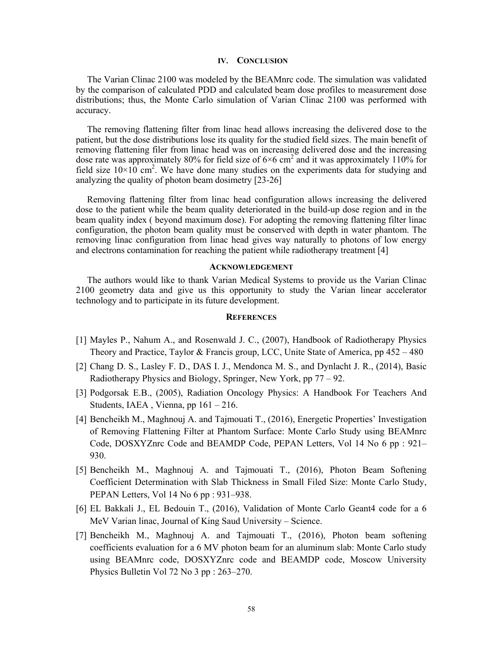## **IV. CONCLUSION**

The Varian Clinac 2100 was modeled by the BEAMnrc code. The simulation was validated by the comparison of calculated PDD and calculated beam dose profiles to measurement dose distributions; thus, the Monte Carlo simulation of Varian Clinac 2100 was performed with accuracy.

The removing flattening filter from linac head allows increasing the delivered dose to the patient, but the dose distributions lose its quality for the studied field sizes. The main benefit of removing flattening filer from linac head was on increasing delivered dose and the increasing dose rate was approximately 80% for field size of  $6 \times 6$  cm<sup>2</sup> and it was approximately 110% for field size  $10 \times 10^{-2}$ . We have done many studies on the experiments data for studying and analyzing the quality of photon beam dosimetry [23-26]

Removing flattening filter from linac head configuration allows increasing the delivered dose to the patient while the beam quality deteriorated in the build-up dose region and in the beam quality index ( beyond maximum dose). For adopting the removing flattening filter linac configuration, the photon beam quality must be conserved with depth in water phantom. The removing linac configuration from linac head gives way naturally to photons of low energy and electrons contamination for reaching the patient while radiotherapy treatment [4]

#### **ACKNOWLEDGEMENT**

The authors would like to thank Varian Medical Systems to provide us the Varian Clinac 2100 geometry data and give us this opportunity to study the Varian linear accelerator technology and to participate in its future development.

## **REFERENCES**

- [1] Mayles P., Nahum A., and Rosenwald J. C., (2007), Handbook of Radiotherapy Physics Theory and Practice, Taylor & Francis group, LCC, Unite State of America, pp 452 – 480
- [2] Chang D. S., Lasley F. D., DAS I. J., Mendonca M. S., and Dynlacht J. R., (2014), Basic Radiotherapy Physics and Biology, Springer, New York, pp 77 – 92.
- [3] Podgorsak E.B., (2005), Radiation Oncology Physics: A Handbook For Teachers And Students, IAEA , Vienna, pp 161 – 216.
- [4] Bencheikh M., Maghnouj A. and Tajmouati T., (2016), Energetic Properties' Investigation of Removing Flattening Filter at Phantom Surface: Monte Carlo Study using BEAMnrc Code, DOSXYZnrc Code and BEAMDP Code, PEPAN Letters, Vol 14 No 6 pp : 921– 930.
- [5] Bencheikh M., Maghnouj A. and Tajmouati T., (2016), Photon Beam Softening Coefficient Determination with Slab Thickness in Small Filed Size: Monte Carlo Study, PEPAN Letters, Vol 14 No 6 pp : 931–938.
- [6] EL Bakkali J., EL Bedouin T., (2016), Validation of Monte Carlo Geant4 code for a 6 MeV Varian linac, Journal of King Saud University – Science.
- [7] Bencheikh M., Maghnouj A. and Tajmouati T., (2016), Photon beam softening coefficients evaluation for a 6 MV photon beam for an aluminum slab: Monte Carlo study using BEAMnrc code, DOSXYZnrc code and BEAMDP code, Moscow University Physics Bulletin Vol 72 No 3 pp : 263–270.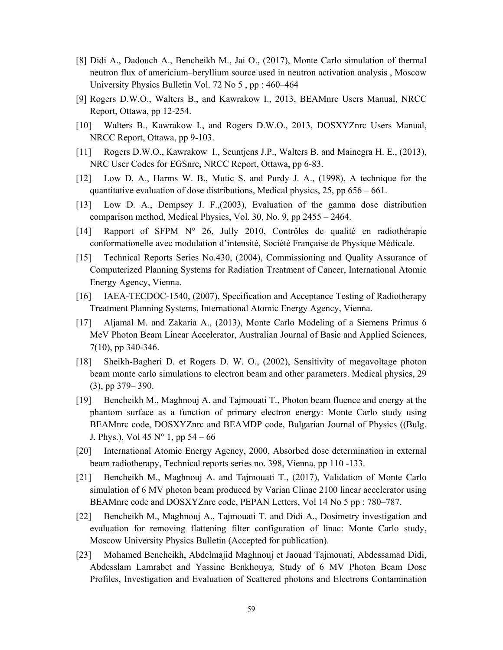- [8] Didi A., Dadouch A., Bencheikh M., Jai O., (2017), Monte Carlo simulation of thermal neutron flux of americium–beryllium source used in neutron activation analysis , Moscow University Physics Bulletin Vol. 72 No 5 , pp : 460–464
- [9] Rogers D.W.O., Walters B., and Kawrakow I., 2013, BEAMnrc Users Manual, NRCC Report, Ottawa, pp 12-254.
- [10] Walters B., Kawrakow I., and Rogers D.W.O., 2013, DOSXYZnrc Users Manual, NRCC Report, Ottawa, pp 9-103.
- [11] Rogers D.W.O., Kawrakow I., Seuntjens J.P., Walters B. and Mainegra H. E., (2013), NRC User Codes for EGSnrc, NRCC Report, Ottawa, pp 6-83.
- [12] Low D. A., Harms W. B., Mutic S. and Purdy J. A., (1998), A technique for the quantitative evaluation of dose distributions, Medical physics, 25, pp 656 – 661.
- [13] Low D. A., Dempsey J. F.,(2003), Evaluation of the gamma dose distribution comparison method, Medical Physics, Vol. 30, No. 9, pp 2455 – 2464.
- [14] Rapport of SFPM N° 26, Jully 2010, Contrôles de qualité en radiothérapie conformationelle avec modulation d'intensité, Société Française de Physique Médicale.
- [15] Technical Reports Series No.430, (2004), Commissioning and Quality Assurance of Computerized Planning Systems for Radiation Treatment of Cancer, International Atomic Energy Agency, Vienna.
- [16] IAEA-TECDOC-1540, (2007), Specification and Acceptance Testing of Radiotherapy Treatment Planning Systems, International Atomic Energy Agency, Vienna.
- [17] Aljamal M. and Zakaria A., (2013), Monte Carlo Modeling of a Siemens Primus 6 MeV Photon Beam Linear Accelerator, Australian Journal of Basic and Applied Sciences, 7(10), pp 340-346.
- [18] Sheikh-Bagheri D. et Rogers D. W. O., (2002), Sensitivity of megavoltage photon beam monte carlo simulations to electron beam and other parameters. Medical physics, 29 (3), pp 379– 390.
- [19] Bencheikh M., Maghnouj A. and Tajmouati T., Photon beam fluence and energy at the phantom surface as a function of primary electron energy: Monte Carlo study using BEAMnrc code, DOSXYZnrc and BEAMDP code, Bulgarian Journal of Physics ((Bulg. J. Phys.), Vol 45  $N^{\circ}$  1, pp 54 – 66
- [20] International Atomic Energy Agency, 2000, Absorbed dose determination in external beam radiotherapy, Technical reports series no. 398, Vienna, pp 110 -133.
- [21] Bencheikh M., Maghnouj A. and Tajmouati T., (2017), Validation of Monte Carlo simulation of 6 MV photon beam produced by Varian Clinac 2100 linear accelerator using BEAMnrc code and DOSXYZnrc code, PEPAN Letters, Vol 14 No 5 pp : 780–787.
- [22] Bencheikh M., Maghnouj A., Tajmouati T. and Didi A., Dosimetry investigation and evaluation for removing flattening filter configuration of linac: Monte Carlo study, Moscow University Physics Bulletin (Accepted for publication).
- [23] Mohamed Bencheikh, Abdelmajid Maghnouj et Jaouad Tajmouati, Abdessamad Didi, Abdesslam Lamrabet and Yassine Benkhouya, Study of 6 MV Photon Beam Dose Profiles, Investigation and Evaluation of Scattered photons and Electrons Contamination